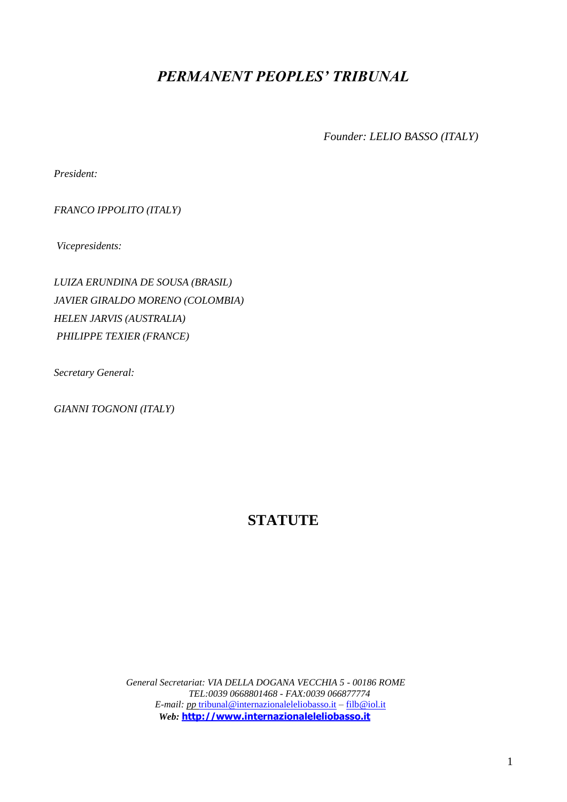# *PERMANENT PEOPLES' TRIBUNAL*

*Founder: LELIO BASSO (ITALY)*

*President:* 

*FRANCO IPPOLITO (ITALY)* 

*Vicepresidents:*

*LUIZA ERUNDINA DE SOUSA (BRASIL) JAVIER GIRALDO MORENO (COLOMBIA) HELEN JARVIS (AUSTRALIA) PHILIPPE TEXIER (FRANCE)*

*Secretary General:* 

*GIANNI TOGNONI (ITALY)*

# **STATUTE**

*General Secretariat: VIA DELLA DOGANA VECCHIA 5 - 00186 ROME TEL:0039 0668801468 - FAX:0039 066877774 E-mail: pp* [tribunal@internazionaleleliobasso.it](mailto:tribunal@internazionaleleliobasso.it) *–* [filb@iol.it](mailto:filb@iol.it)  *Web:* **[http://www.internazionaleleliobasso.it](http://www.internazionaleleliobasso.it/)**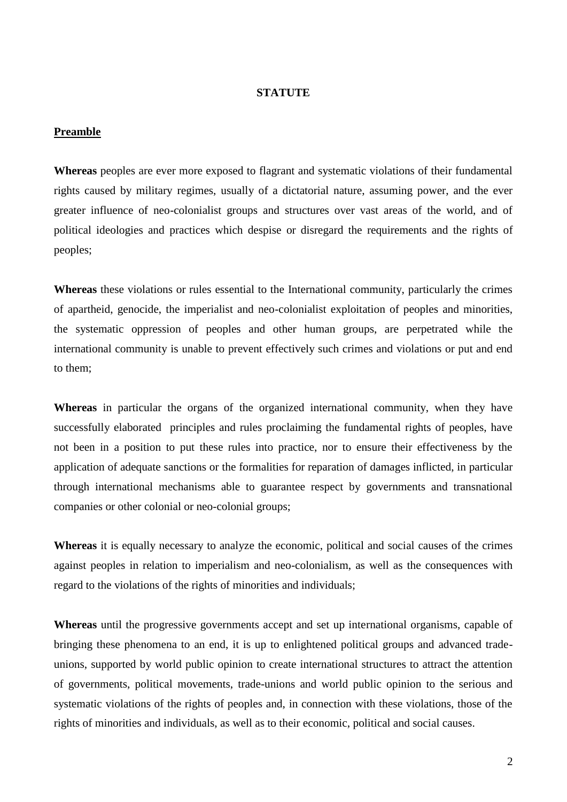#### **STATUTE**

#### **Preamble**

**Whereas** peoples are ever more exposed to flagrant and systematic violations of their fundamental rights caused by military regimes, usually of a dictatorial nature, assuming power, and the ever greater influence of neo-colonialist groups and structures over vast areas of the world, and of political ideologies and practices which despise or disregard the requirements and the rights of peoples;

**Whereas** these violations or rules essential to the International community, particularly the crimes of apartheid, genocide, the imperialist and neo-colonialist exploitation of peoples and minorities, the systematic oppression of peoples and other human groups, are perpetrated while the international community is unable to prevent effectively such crimes and violations or put and end to them;

**Whereas** in particular the organs of the organized international community, when they have successfully elaborated principles and rules proclaiming the fundamental rights of peoples, have not been in a position to put these rules into practice, nor to ensure their effectiveness by the application of adequate sanctions or the formalities for reparation of damages inflicted, in particular through international mechanisms able to guarantee respect by governments and transnational companies or other colonial or neo-colonial groups;

**Whereas** it is equally necessary to analyze the economic, political and social causes of the crimes against peoples in relation to imperialism and neo-colonialism, as well as the consequences with regard to the violations of the rights of minorities and individuals;

**Whereas** until the progressive governments accept and set up international organisms, capable of bringing these phenomena to an end, it is up to enlightened political groups and advanced tradeunions, supported by world public opinion to create international structures to attract the attention of governments, political movements, trade-unions and world public opinion to the serious and systematic violations of the rights of peoples and, in connection with these violations, those of the rights of minorities and individuals, as well as to their economic, political and social causes.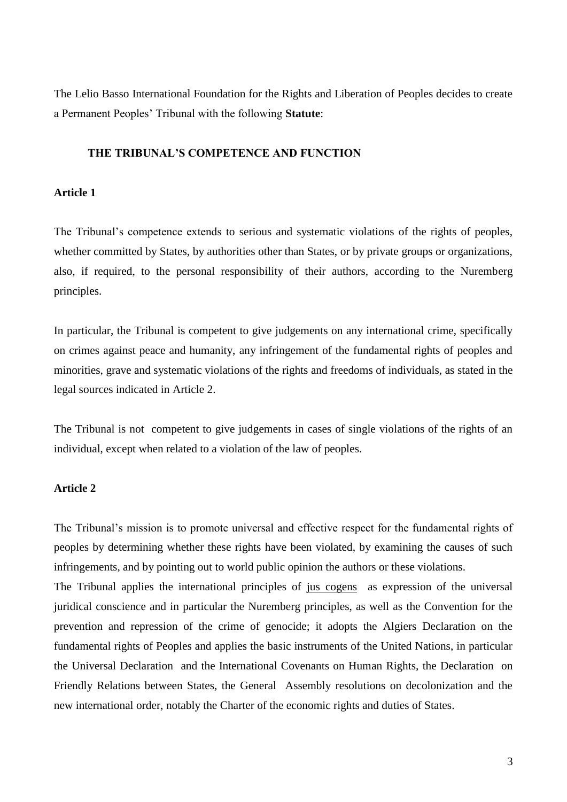The Lelio Basso International Foundation for the Rights and Liberation of Peoples decides to create a Permanent Peoples' Tribunal with the following **Statute**:

# **THE TRIBUNAL'S COMPETENCE AND FUNCTION**

#### **Article 1**

The Tribunal's competence extends to serious and systematic violations of the rights of peoples, whether committed by States, by authorities other than States, or by private groups or organizations, also, if required, to the personal responsibility of their authors, according to the Nuremberg principles.

In particular, the Tribunal is competent to give judgements on any international crime, specifically on crimes against peace and humanity, any infringement of the fundamental rights of peoples and minorities, grave and systematic violations of the rights and freedoms of individuals, as stated in the legal sources indicated in Article 2.

The Tribunal is not competent to give judgements in cases of single violations of the rights of an individual, except when related to a violation of the law of peoples.

#### **Article 2**

The Tribunal's mission is to promote universal and effective respect for the fundamental rights of peoples by determining whether these rights have been violated, by examining the causes of such infringements, and by pointing out to world public opinion the authors or these violations.

The Tribunal applies the international principles of jus cogens as expression of the universal juridical conscience and in particular the Nuremberg principles, as well as the Convention for the prevention and repression of the crime of genocide; it adopts the Algiers Declaration on the fundamental rights of Peoples and applies the basic instruments of the United Nations, in particular the Universal Declaration and the International Covenants on Human Rights, the Declaration on Friendly Relations between States, the General Assembly resolutions on decolonization and the new international order, notably the Charter of the economic rights and duties of States.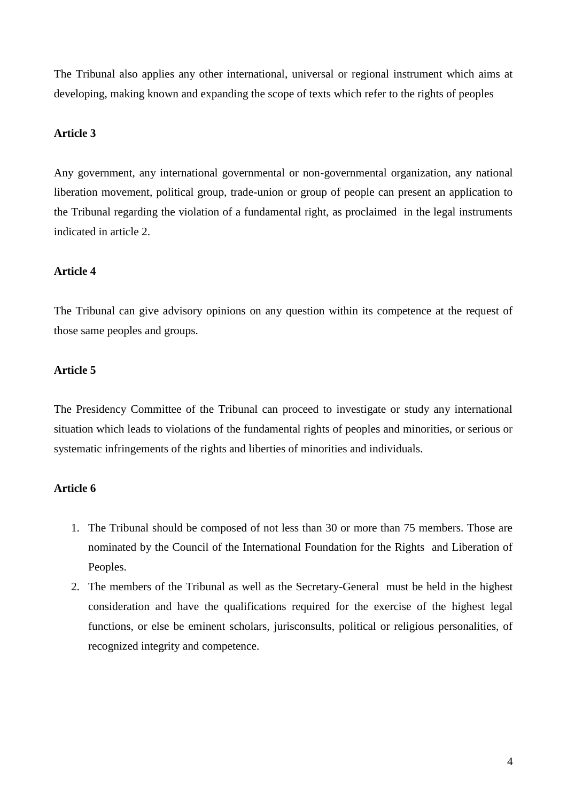The Tribunal also applies any other international, universal or regional instrument which aims at developing, making known and expanding the scope of texts which refer to the rights of peoples

# **Article 3**

Any government, any international governmental or non-governmental organization, any national liberation movement, political group, trade-union or group of people can present an application to the Tribunal regarding the violation of a fundamental right, as proclaimed in the legal instruments indicated in article 2.

#### **Article 4**

The Tribunal can give advisory opinions on any question within its competence at the request of those same peoples and groups.

# **Article 5**

The Presidency Committee of the Tribunal can proceed to investigate or study any international situation which leads to violations of the fundamental rights of peoples and minorities, or serious or systematic infringements of the rights and liberties of minorities and individuals.

#### **Article 6**

- 1. The Tribunal should be composed of not less than 30 or more than 75 members. Those are nominated by the Council of the International Foundation for the Rights and Liberation of Peoples.
- 2. The members of the Tribunal as well as the Secretary-General must be held in the highest consideration and have the qualifications required for the exercise of the highest legal functions, or else be eminent scholars, jurisconsults, political or religious personalities, of recognized integrity and competence.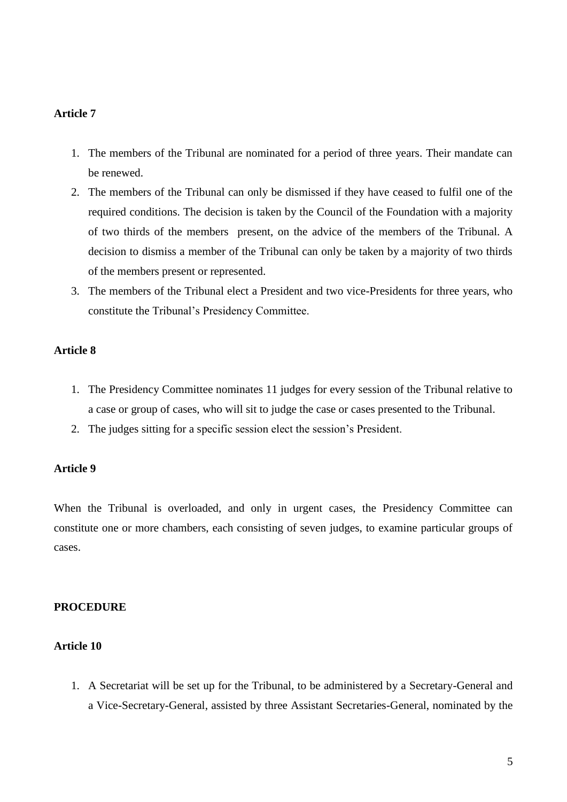#### **Article 7**

- 1. The members of the Tribunal are nominated for a period of three years. Their mandate can be renewed.
- 2. The members of the Tribunal can only be dismissed if they have ceased to fulfil one of the required conditions. The decision is taken by the Council of the Foundation with a majority of two thirds of the members present, on the advice of the members of the Tribunal. A decision to dismiss a member of the Tribunal can only be taken by a majority of two thirds of the members present or represented.
- 3. The members of the Tribunal elect a President and two vice-Presidents for three years, who constitute the Tribunal's Presidency Committee.

# **Article 8**

- 1. The Presidency Committee nominates 11 judges for every session of the Tribunal relative to a case or group of cases, who will sit to judge the case or cases presented to the Tribunal.
- 2. The judges sitting for a specific session elect the session's President.

#### **Article 9**

When the Tribunal is overloaded, and only in urgent cases, the Presidency Committee can constitute one or more chambers, each consisting of seven judges, to examine particular groups of cases.

#### **PROCEDURE**

# **Article 10**

1. A Secretariat will be set up for the Tribunal, to be administered by a Secretary-General and a Vice-Secretary-General, assisted by three Assistant Secretaries-General, nominated by the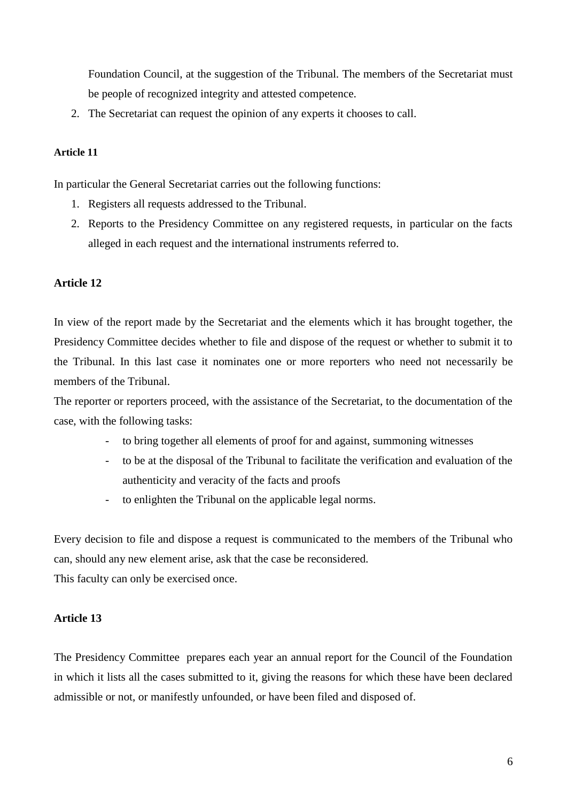Foundation Council, at the suggestion of the Tribunal. The members of the Secretariat must be people of recognized integrity and attested competence.

2. The Secretariat can request the opinion of any experts it chooses to call.

#### **Article 11**

In particular the General Secretariat carries out the following functions:

- 1. Registers all requests addressed to the Tribunal.
- 2. Reports to the Presidency Committee on any registered requests, in particular on the facts alleged in each request and the international instruments referred to.

#### **Article 12**

In view of the report made by the Secretariat and the elements which it has brought together, the Presidency Committee decides whether to file and dispose of the request or whether to submit it to the Tribunal. In this last case it nominates one or more reporters who need not necessarily be members of the Tribunal.

The reporter or reporters proceed, with the assistance of the Secretariat, to the documentation of the case, with the following tasks:

- to bring together all elements of proof for and against, summoning witnesses
- to be at the disposal of the Tribunal to facilitate the verification and evaluation of the authenticity and veracity of the facts and proofs
- to enlighten the Tribunal on the applicable legal norms.

Every decision to file and dispose a request is communicated to the members of the Tribunal who can, should any new element arise, ask that the case be reconsidered.

This faculty can only be exercised once.

#### **Article 13**

The Presidency Committee prepares each year an annual report for the Council of the Foundation in which it lists all the cases submitted to it, giving the reasons for which these have been declared admissible or not, or manifestly unfounded, or have been filed and disposed of.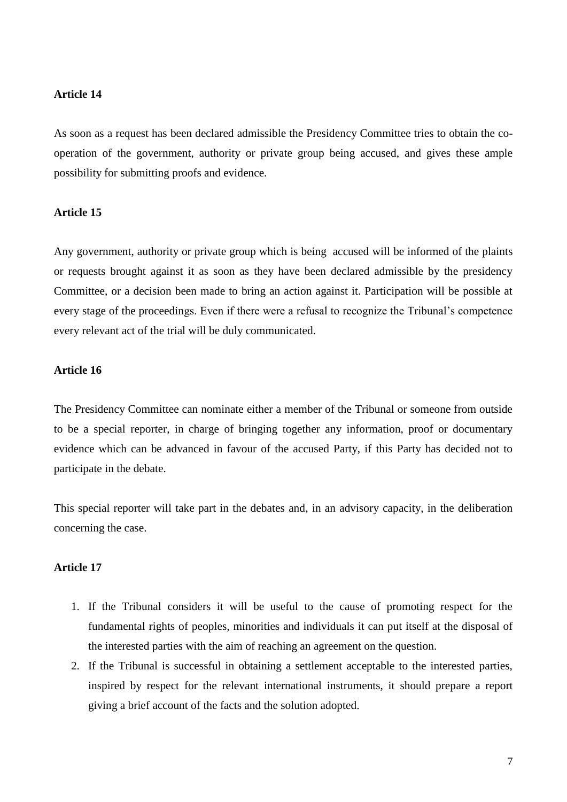#### **Article 14**

As soon as a request has been declared admissible the Presidency Committee tries to obtain the cooperation of the government, authority or private group being accused, and gives these ample possibility for submitting proofs and evidence.

#### **Article 15**

Any government, authority or private group which is being accused will be informed of the plaints or requests brought against it as soon as they have been declared admissible by the presidency Committee, or a decision been made to bring an action against it. Participation will be possible at every stage of the proceedings. Even if there were a refusal to recognize the Tribunal's competence every relevant act of the trial will be duly communicated.

# **Article 16**

The Presidency Committee can nominate either a member of the Tribunal or someone from outside to be a special reporter, in charge of bringing together any information, proof or documentary evidence which can be advanced in favour of the accused Party, if this Party has decided not to participate in the debate.

This special reporter will take part in the debates and, in an advisory capacity, in the deliberation concerning the case.

#### **Article 17**

- 1. If the Tribunal considers it will be useful to the cause of promoting respect for the fundamental rights of peoples, minorities and individuals it can put itself at the disposal of the interested parties with the aim of reaching an agreement on the question.
- 2. If the Tribunal is successful in obtaining a settlement acceptable to the interested parties, inspired by respect for the relevant international instruments, it should prepare a report giving a brief account of the facts and the solution adopted.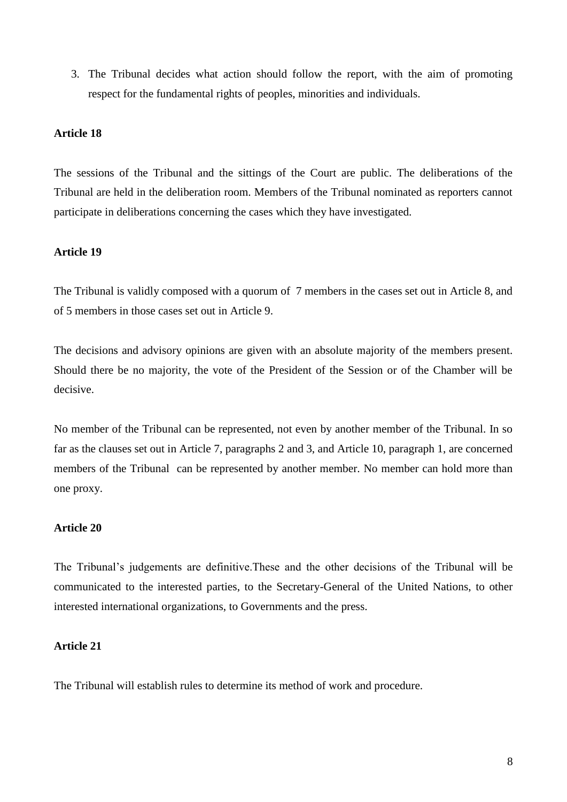3. The Tribunal decides what action should follow the report, with the aim of promoting respect for the fundamental rights of peoples, minorities and individuals.

# **Article 18**

The sessions of the Tribunal and the sittings of the Court are public. The deliberations of the Tribunal are held in the deliberation room. Members of the Tribunal nominated as reporters cannot participate in deliberations concerning the cases which they have investigated.

#### **Article 19**

The Tribunal is validly composed with a quorum of 7 members in the cases set out in Article 8, and of 5 members in those cases set out in Article 9.

The decisions and advisory opinions are given with an absolute majority of the members present. Should there be no majority, the vote of the President of the Session or of the Chamber will be decisive.

No member of the Tribunal can be represented, not even by another member of the Tribunal. In so far as the clauses set out in Article 7, paragraphs 2 and 3, and Article 10, paragraph 1, are concerned members of the Tribunal can be represented by another member. No member can hold more than one proxy.

# **Article 20**

The Tribunal's judgements are definitive.These and the other decisions of the Tribunal will be communicated to the interested parties, to the Secretary-General of the United Nations, to other interested international organizations, to Governments and the press.

# **Article 21**

The Tribunal will establish rules to determine its method of work and procedure.